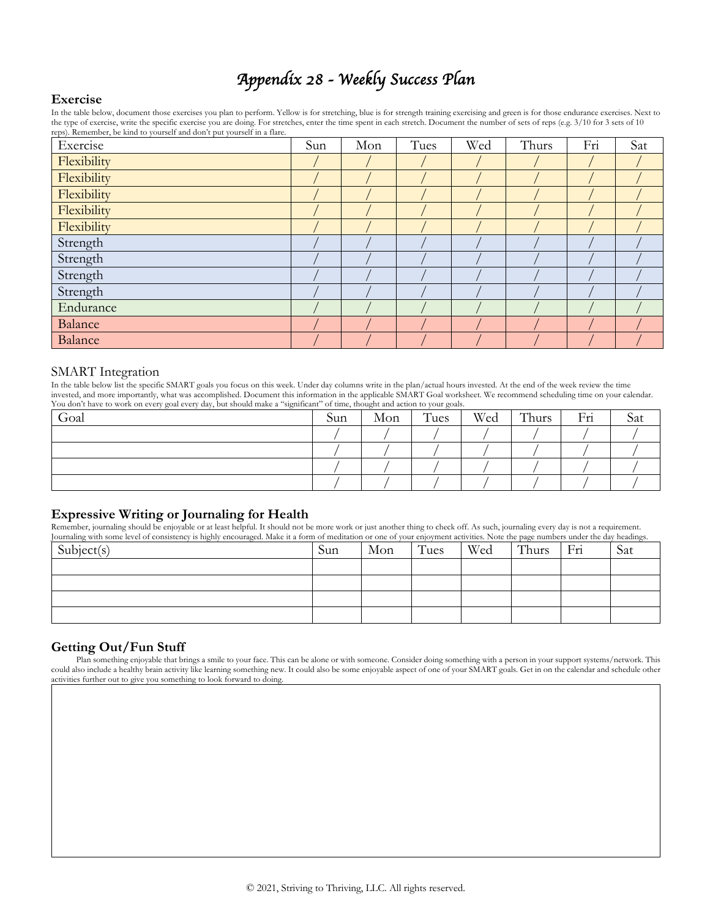# *Appendix 28 - Weekly Success Plan*

#### **Exercise**

In the table below, document those exercises you plan to perform. Yellow is for stretching, blue is for strength training exercising and green is for those endurance exercises. Next to the type of exercise, write the specific exercise you are doing. For stretches, enter the time spent in each stretch. Document the number of sets of reps (e.g. 3/10 for 3 sets of 10 reps). Remember, be kind to yourself and don't put yourself in a flare.

| Exercise    | Sun | Mon | Tues | Wed | Thurs | Fri | Sat |
|-------------|-----|-----|------|-----|-------|-----|-----|
| Flexibility |     |     |      |     |       |     |     |
| Flexibility |     |     |      |     |       |     |     |
| Flexibility |     |     |      |     |       |     |     |
| Flexibility |     |     |      |     |       |     |     |
| Flexibility |     |     |      |     |       |     |     |
| Strength    |     |     |      |     |       |     |     |
| Strength    |     |     |      |     |       |     |     |
| Strength    |     |     |      |     |       |     |     |
| Strength    |     |     |      |     |       |     |     |
| Endurance   |     |     |      |     |       |     |     |
| Balance     |     |     |      |     |       |     |     |
| Balance     |     |     |      |     |       |     |     |

#### SMART Integration

In the table below list the specific SMART goals you focus on this week. Under day columns write in the plan/actual hours invested. At the end of the week review the time invested, and more importantly, what was accomplished. Document this information in the applicable SMART Goal worksheet. We recommend scheduling time on your calendar. You don't have to work on every goal every day, but should make a "significant" of time, thought and action to your goals.

| Goal | Sun | Mon | Tues | Wed | Thurs | Fri | ðat |
|------|-----|-----|------|-----|-------|-----|-----|
|      |     |     |      |     |       |     |     |
|      |     |     |      |     |       |     |     |
|      |     |     |      |     |       |     |     |
|      |     |     |      |     |       |     |     |

### **Expressive Writing or Journaling for Health**

Remember, journaling should be enjoyable or at least helpful. It should not be more work or just another thing to check off. As such, journaling every day is not a requirement. Journaling with some level of consistency is highly encouraged. Make it a form of meditation or one of your enjoyment activities. Note the page numbers under the day headings.

| Subject(s) | Sun | Mon | Tues | Wed | Thurs | Fri | Sat |
|------------|-----|-----|------|-----|-------|-----|-----|
|            |     |     |      |     |       |     |     |
|            |     |     |      |     |       |     |     |
|            |     |     |      |     |       |     |     |
|            |     |     |      |     |       |     |     |

## **Getting Out/Fun Stuff**

Plan something enjoyable that brings a smile to your face. This can be alone or with someone. Consider doing something with a person in your support systems/network. This could also include a healthy brain activity like learning something new. It could also be some enjoyable aspect of one of your SMART goals. Get in on the calendar and schedule other activities further out to give you something to look forward to doing.